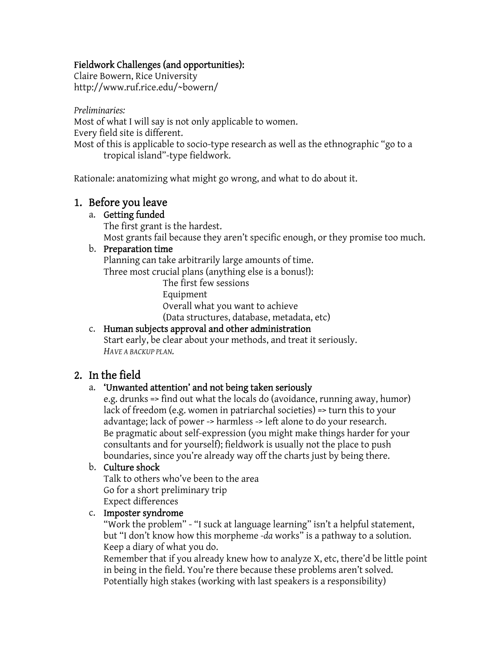## Fieldwork Challenges (and opportunities):

Claire Bowern, Rice University http://www.ruf.rice.edu/~bowern/

*Preliminaries:* Most of what I will say is not only applicable to women. Every field site is different. Most of this is applicable to socio-type research as well as the ethnographic "go to a tropical island"-type fieldwork.

Rationale: anatomizing what might go wrong, and what to do about it.

# 1. Before you leave

## a. Getting funded

 The first grant is the hardest. Most grants fail because they aren't specific enough, or they promise too much.

## b. Preparation time

 Planning can take arbitrarily large amounts of time. Three most crucial plans (anything else is a bonus!):

The first few sessions

Equipment

Overall what you want to achieve

(Data structures, database, metadata, etc)

# c. Human subjects approval and other administration

 Start early, be clear about your methods, and treat it seriously. *HAVE A BACKUP PLAN.* 

# 2. In the field

## a. 'Unwanted attention' and not being taken seriously

 e.g. drunks => find out what the locals do (avoidance, running away, humor) lack of freedom (e.g. women in patriarchal societies) => turn this to your advantage; lack of power -> harmless -> left alone to do your research. Be pragmatic about self-expression (you might make things harder for your consultants and for yourself); fieldwork is usually not the place to push boundaries, since you're already way off the charts just by being there.

# b. Culture shock

 Talk to others who've been to the area Go for a short preliminary trip Expect differences

## c. Imposter syndrome

 "Work the problem" - "I suck at language learning" isn't a helpful statement, but "I don't know how this morpheme *-da* works" is a pathway to a solution. Keep a diary of what you do.

 Remember that if you already knew how to analyze X, etc, there'd be little point in being in the field. You're there because these problems aren't solved. Potentially high stakes (working with last speakers is a responsibility)